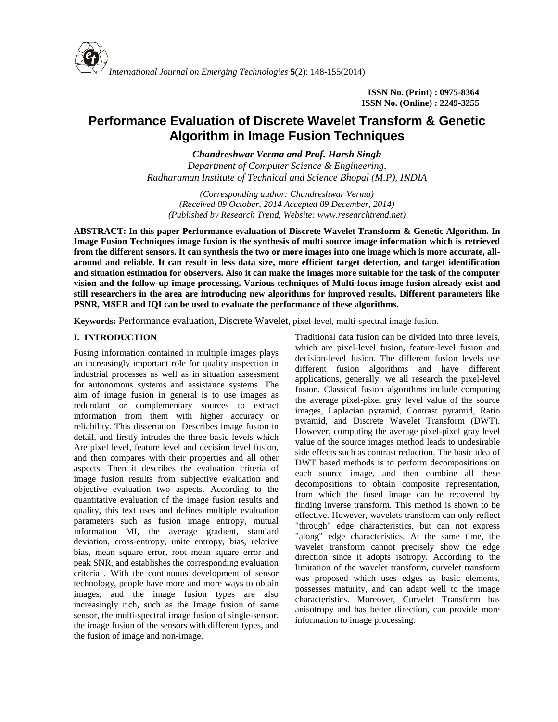

**ISSN No. (Print) : 0975-8364 ISSN No. (Online) : 2249-3255**

# **Performance Evaluation of Discrete Wavelet Transform & Genetic Algorithm in Image Fusion Techniques**

*Chandreshwar Verma and Prof. Harsh Singh*

*Department of Computer Science & Engineering, Radharaman Institute of Technical and Science Bhopal (M.P), INDIA*

*(Corresponding author: Chandreshwar Verma) (Received 09 October, 2014 Accepted 09 December, 2014) (Published by Research Trend, Website: [www.researchtrend.net\)](www.researchtrend.net)*

**ABSTRACT: In this paper Performance evaluation of Discrete Wavelet Transform & Genetic Algorithm. In Image Fusion Techniques image fusion is the synthesis of multi source image information which is retrieved from the different sensors. It can synthesis the two or more images into one image which is more accurate, all around and reliable. It can result in less data size, more efficient target detection, and target identification and situation estimation for observers. Also it can make the images more suitable for the task of the computer vision and the follow-up image processing. Various techniques of Multi-focus image fusion already exist and still researchers in the area are introducing new algorithms for improved results. Different parameters like PSNR, MSER and IQI can be used to evaluate the performance of these algorithms.**

**Keywords:** Performance evaluation, Discrete Wavelet, pixel-level, multi-spectral image fusion.

## **I. INTRODUCTION**

Fusing information contained in multiple images plays an increasingly important role for quality inspection in industrial processes as well as in situation assessment for autonomous systems and assistance systems. The aim of image fusion in general is to use images as redundant or complementary sources to extract information from them with higher accuracy or reliability. This dissertation Describes image fusion in detail, and firstly intrudes the three basic levels which Are pixel level, feature level and decision level fusion, and then compares with their properties and all other aspects. Then it describes the evaluation criteria of image fusion results from subjective evaluation and objective evaluation two aspects. According to the quantitative evaluation of the image fusion results and quality, this text uses and defines multiple evaluation parameters such as fusion image entropy, mutual information MI, the average gradient, standard deviation, cross-entropy, unite entropy, bias, relative bias, mean square error, root mean square error and peak SNR, and establishes the corresponding evaluation criteria . With the continuous development of sensor technology, people have more and more ways to obtain images, and the image fusion types are also increasingly rich, such as the Image fusion of same sensor, the multi-spectral image fusion of single-sensor, the image fusion of the sensors with different types, and the fusion of image and non-image.

Traditional data fusion can be divided into three levels, which are pixel-level fusion, feature-level fusion and decision-level fusion. The different fusion levels use different fusion algorithms and have different applications, generally, we all research the pixel-level fusion. Classical fusion algorithms include computing the average pixel-pixel gray level value of the source images, Laplacian pyramid, Contrast pyramid, Ratio pyramid, and Discrete Wavelet Transform (DWT). However, computing the average pixel-pixel gray level value of the source images method leads to undesirable side effects such as contrast reduction. The basic idea of DWT based methods is to perform decompositions on each source image, and then combine all these decompositions to obtain composite representation, from which the fused image can be recovered by finding inverse transform. This method is shown to be effective. However, wavelets transform can only reflect "through" edge characteristics, but can not express "along" edge characteristics. At the same time, the wavelet transform cannot precisely show the edge direction since it adopts isotropy. According to the limitation of the wavelet transform, curvelet transform was proposed which uses edges as basic elements, possesses maturity, and can adapt well to the image characteristics. Moreover, Curvelet Transform has anisotropy and has better direction, can provide more information to image processing.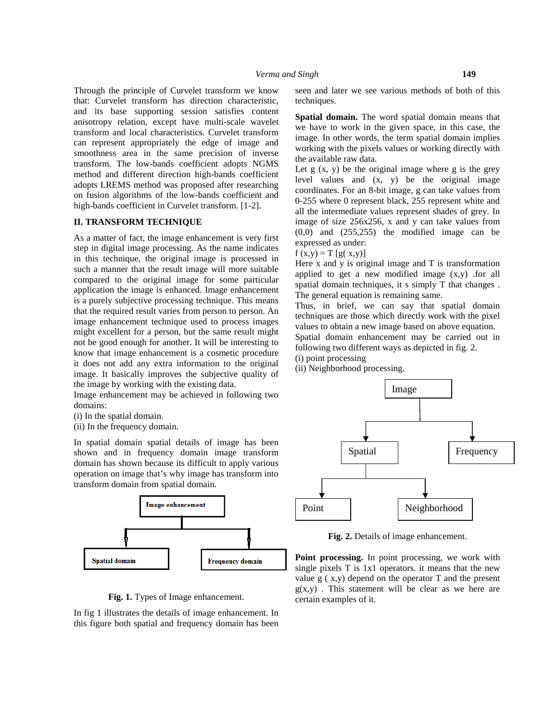Through the principle of Curvelet transform we know that: Curvelet transform has direction characteristic, and its base supporting session satisfies content anisotropy relation, except have multi-scale wavelet transform and local characteristics. Curvelet transform can represent appropriately the edge of image and smoothness area in the same precision of inverse transform. The low-bands coefficient adopts NGMS method and different direction high-bands coefficient adopts LREMS method was proposed after researching on fusion algorithms of the low-bands coefficient and high-bands coefficient in Curvelet transform. [1-2].

## **II. TRANSFORM TECHNIQUE**

As a matter of fact, the image enhancement is very first step in digital image processing. As the name indicates in this technique, the original image is processed in such a manner that the result image will more suitable compared to the original image for some particular application the image is enhanced. Image enhancement is a purely subjective processing technique. This means that the required result varies from person to person. An image enhancement technique used to process images might excellent for a person, but the same result might not be good enough for another. It will be interesting to know that image enhancement is a cosmetic procedure it does not add any extra information to the original image. It basically improves the subjective quality of the image by working with the existing data.

Image enhancement may be achieved in following two domains:

- (i) In the spatial domain.
- (ii) In the frequency domain.

In spatial domain spatial details of image has been shown and in frequency domain image transform domain has shown because its difficult to apply various operation on image that's why image has transform into transform domain from spatial domain.



**Fig. 1.** Types of Image enhancement.

In fig 1 illustrates the details of image enhancement. In this figure both spatial and frequency domain has been seen and later we see various methods of both of this techniques.

**Spatial domain.** The word spatial domain means that we have to work in the given space, in this case, the image. In other words, the term spatial domain implies working with the pixels values or working directly with the available raw data.

Let  $g(x, y)$  be the original image where  $g$  is the grey level values and (x, y) be the original image coordinates. For an 8-bit image, g can take values from 0-255 where 0 represent black, 255 represent white and all the intermediate values represent shades of grey. In image of size 256x256, x and y can take values from  $(0,0)$  and  $(255,255)$  the modified image can be expressed as under:

f  $(x,y) = T [g(x,y)]$ 

Here  $x$  and  $y$  is original image and  $T$  is transformation applied to get a new modified image (x,y) .for all spatial domain techniques, it s simply T that changes . The general equation is remaining same.

Thus, in brief, we can say that spatial domain techniques are those which directly work with the pixel values to obtain a new image based on above equation. Spatial domain enhancement may be carried out in

following two different ways as depicted in fig. 2.

(i) point processing

(ii) Neighborhood processing.



Fig. 2. Details of image enhancement.

**Point processing.** In point processing, we work with single pixels T is 1x1 operators. it means that the new value  $g(x, y)$  depend on the operator T and the present  $g(x,y)$ . This statement will be clear as we here are certain examples of it.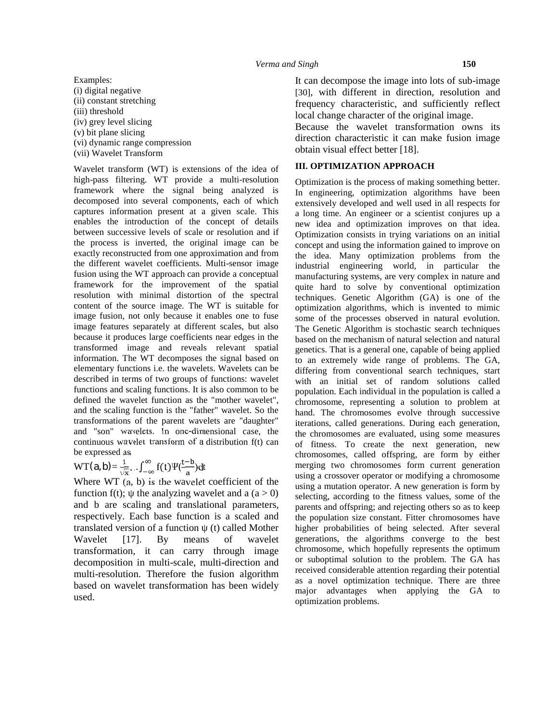Examples: (i) digital negative (ii) constant stretching (iii) threshold (iv) grey level slicing (v) bit plane slicing (vi) dynamic range compression (vii) Wavelet Transform

Wavelet transform (WT) is extensions of the idea of high-pass filtering. WT provide a multi-resolution framework where the signal being analyzed is decomposed into several components, each of which captures information present at a given scale. This enables the introduction of the concept of details between successive levels of scale or resolution and if the process is inverted, the original image can be exactly reconstructed from one approximation and from the different wavelet coefficients. Multi-sensor image fusion using the WT approach can provide a conceptual framework for the improvement of the spatial resolution with minimal distortion of the spectral content of the source image. The WT is suitable for image fusion, not only because it enables one to fuse image features separately at different scales, but also because it produces large coefficients near edges in the transformed image and reveals relevant spatial information. The WT decomposes the signal based on elementary functions i.e. the wavelets. Wavelets can be described in terms of two groups of functions: wavelet functions and scaling functions. It is also common to be defined the wavelet function as the "mother wavelet", and the scaling function is the "father" wavelet. So the transformations of the parent wavelets are "daughter" and "son" wavelets. In one-dimensional case, the continuous wavelet transform of a distribution f(t) can be expressed as

 $WT(a, b) = \frac{1}{\sqrt{x}} \dots \int_{-\infty}^{\infty} f(t)^{v} \left( \frac{t-b}{a} \right) dt$ 

Where WT (a, b) is the wavelet coefficient of the function f(t); the analyzing wavelet and a  $(a > 0)$ and b are scaling and translational parameters, respectively. Each base function is a scaled and translated version of a function (t) called Mother Wavelet [17]. By means of wavelet transformation, it can carry through image decomposition in multi-scale, multi-direction and multi-resolution. Therefore the fusion algorithm based on wavelet transformation has been widely used.

It can decompose the image into lots of sub-image [30], with different in direction, resolution and frequency characteristic, and sufficiently reflect local change character of the original image.

Because the wavelet transformation owns its direction characteristic it can make fusion image obtain visual effect better [18].

## **III. OPTIMIZATION APPROACH**

Optimization is the process of making something better. In engineering, optimization algorithms have been extensively developed and well used in all respects for a long time. An engineer or a scientist conjures up a new idea and optimization improves on that idea. Optimization consists in trying variations on an initial concept and using the information gained to improve on the idea. Many optimization problems from the industrial engineering world, in particular the manufacturing systems, are very complex in nature and quite hard to solve by conventional optimization techniques. Genetic Algorithm (GA) is one of the optimization algorithms, which is invented to mimic some of the processes observed in natural evolution. The Genetic Algorithm is stochastic search techniques based on the mechanism of natural selection and natural genetics. That is a general one, capable of being applied to an extremely wide range of problems. The GA, differing from conventional search techniques, start with an initial set of random solutions called population. Each individual in the population is called a chromosome, representing a solution to problem at hand. The chromosomes evolve through successive iterations, called generations. During each generation, the chromosomes are evaluated, using some measures of fitness. To create the next generation, new chromosomes, called offspring, are form by either merging two chromosomes form current generation using a crossover operator or modifying a chromosome using a mutation operator. A new generation is form by selecting, according to the fitness values, some of the parents and offspring; and rejecting others so as to keep the population size constant. Fitter chromosomes have higher probabilities of being selected. After several generations, the algorithms converge to the best chromosome, which hopefully represents the optimum or suboptimal solution to the problem. The GA has received considerable attention regarding their potential as a novel optimization technique. There are three major advantages when applying the GA to optimization problems.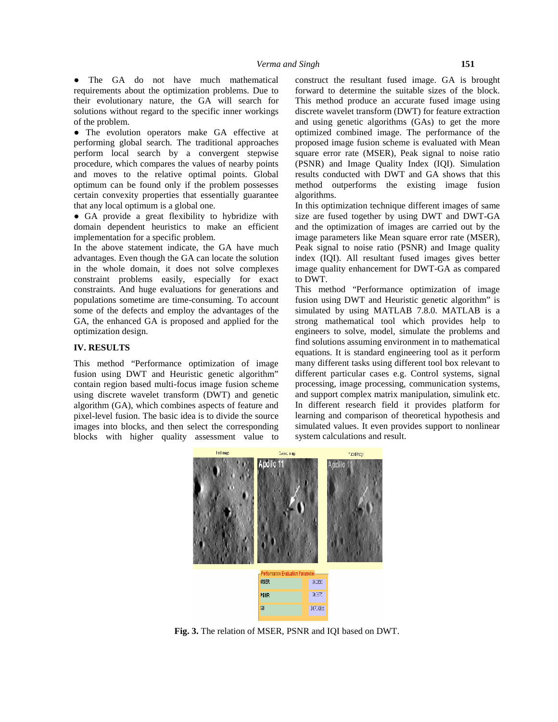The GA do not have much mathematical requirements about the optimization problems. Due to their evolutionary nature, the GA will search for solutions without regard to the specific inner workings of the problem.

The evolution operators make GA effective at performing global search. The traditional approaches perform local search by a convergent stepwise procedure, which compares the values of nearby points and moves to the relative optimal points. Global optimum can be found only if the problem possesses certain convexity properties that essentially guarantee that any local optimum is a global one.

GA provide a great flexibility to hybridize with domain dependent heuristics to make an efficient implementation for a specific problem.

In the above statement indicate, the GA have much advantages. Even though the GA can locate the solution in the whole domain, it does not solve complexes constraint problems easily, especially for exact constraints. And huge evaluations for generations and populations sometime are time-consuming. To account some of the defects and employ the advantages of the GA, the enhanced GA is proposed and applied for the optimization design.

### **IV. RESULTS**

This method "Performance optimization of image fusion using DWT and Heuristic genetic algorithm" contain region based multi-focus image fusion scheme using discrete wavelet transform (DWT) and genetic algorithm (GA), which combines aspects of feature and pixel-level fusion. The basic idea is to divide the source images into blocks, and then select the corresponding blocks with higher quality assessment value to construct the resultant fused image. GA is brought forward to determine the suitable sizes of the block. This method produce an accurate fused image using discrete wavelet transform (DWT) for feature extraction and using genetic algorithms (GAs) to get the more optimized combined image. The performance of the proposed image fusion scheme is evaluated with Mean square error rate (MSER), Peak signal to noise ratio (PSNR) and Image Quality Index (IQI). Simulation results conducted with DWT and GA shows that this method outperforms the existing image fusion algorithms.

In this optimization technique different images of same size are fused together by using DWT and DWT-GA and the optimization of images are carried out by the image parameters like Mean square error rate (MSER), Peak signal to noise ratio (PSNR) and Image quality index (IQI). All resultant fused images gives better image quality enhancement for DWT-GA as compared to DWT.

This method "Performance optimization of image fusion using DWT and Heuristic genetic algorithm" is simulated by using MATLAB 7.8.0. MATLAB is a strong mathematical tool which provides help to engineers to solve, model, simulate the problems and find solutions assuming environment in to mathematical equations. It is standard engineering tool as it perform many different tasks using different tool box relevant to different particular cases e.g. Control systems, signal processing, image processing, communication systems, and support complex matrix manipulation, simulink etc. In different research field it provides platform for learning and comparison of theoretical hypothesis and simulated values. It even provides support to nonlinear system calculations and result.



**Fig. 3.** The relation of MSER, PSNR and IQI based on DWT.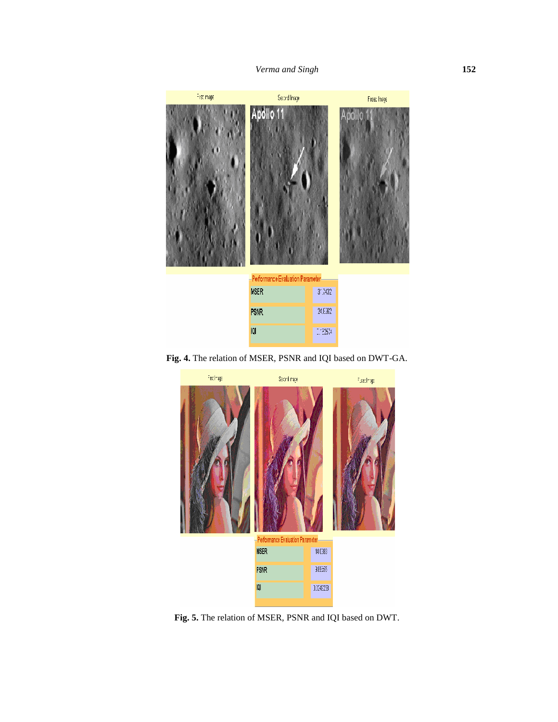

**Fig. 4.** The relation of MSER, PSNR and IQI based on DWT-GA.



**Fig. 5.** The relation of MSER, PSNR and IQI based on DWT.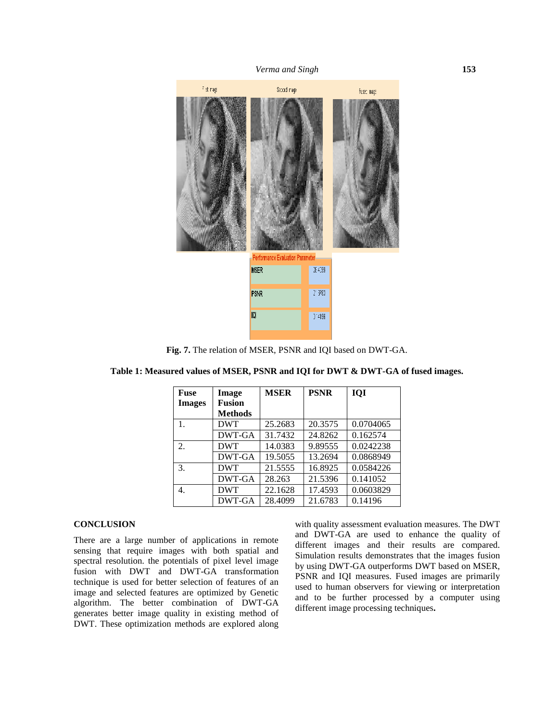

**Fig. 7.** The relation of MSER, PSNR and IQI based on DWT-GA.

| <b>Fuse</b>   | Image         | <b>MSER</b> | <b>PSNR</b> | <b>IQI</b> |
|---------------|---------------|-------------|-------------|------------|
| <b>Images</b> | <b>Fusion</b> |             |             |            |
|               | Methods       |             |             |            |
| 1.            | <b>DWT</b>    | 25.2683     | 20.3575     | 0.0704065  |
|               | DWT-GA        | 31.7432     | 24.8262     | 0.162574   |
| 2.            | <b>DWT</b>    | 14.0383     | 9.89555     | 0.0242238  |
|               | DWT-GA        | 19.5055     | 13.2694     | 0.0868949  |
| 3.            | <b>DWT</b>    | 21.5555     | 16.8925     | 0.0584226  |
|               | DWT-GA        | 28.263      | 21.5396     | 0.141052   |
| 4.            | <b>DWT</b>    | 22.1628     | 17.4593     | 0.0603829  |
|               | DWT-GA        | 28.4099     | 21.6783     | 0.14196    |

**Table 1: Measured values of MSER, PSNR and IQI for DWT & DWT-GA of fused images.**

#### **CONCLUSION**

There are a large number of applications in remote sensing that require images with both spatial and spectral resolution. the potentials of pixel level image fusion with DWT and DWT-GA transformation technique is used for better selection of features of an image and selected features are optimized by Genetic algorithm. The better combination of DWT-GA generates better image quality in existing method of DWT. These optimization methods are explored along

with quality assessment evaluation measures. The DWT and DWT-GA are used to enhance the quality of different images and their results are compared. Simulation results demonstrates that the images fusion by using DWT-GA outperforms DWT based on MSER, PSNR and IQI measures. Fused images are primarily used to human observers for viewing or interpretation and to be further processed by a computer using different image processing techniques**.**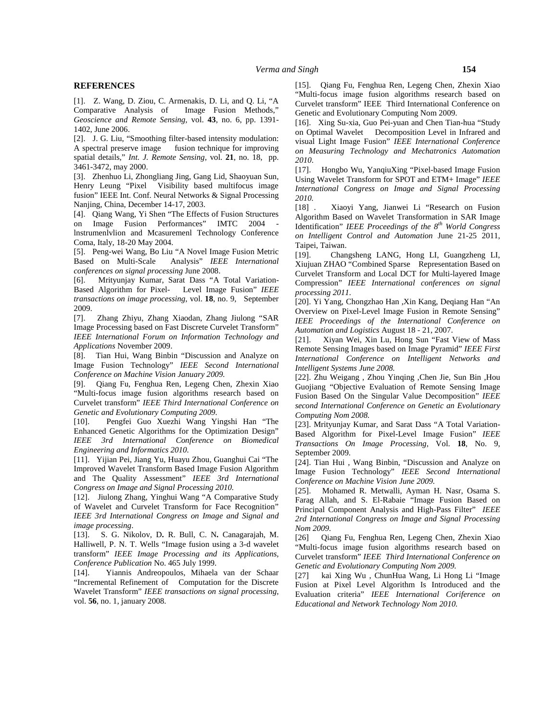#### **REFERENCES**

[1]. Z. Wang, D. Ziou, C. Armenakis, D. Li, and Q. Li, "A Comparative Analysis of Image Fusion Methods," *Geoscience and Remote Sensing,* vol. **43**, no. 6, pp. 1391- 1402, June 2006.

[2]. J. G. Liu, "Smoothing filter-based intensity modulation: A spectral preserve image fusion technique for improving spatial details," *Int. J. Remote Sensing*, vol. **21**, no. 18, pp. 3461-3472, may 2000.

[3]. Zhenhuo Li, Zhongliang Jing, Gang Lid, Shaoyuan Sun, Henry Leung "Pixel Visibility based multifocus image fusion" IEEE Int. Conf. Neural Networks & Signal Processing Nanjing, China, December 14-17, 2003.

Nanjing, China, December 14-17, 2003.<br>[4]. Qiang Wang, Yi Shen "The Effects of Fusion Structures algorithed on Image Fusion Performances" IMTC 2004 lnstrumenlvlion and Mcasuremenl Technology Conference

Coma, Italy, 18-20 May 2004.

[5]. Peng-wei Wang, Bo Liu "A Novel Image Fusion Metric Based on Multi-Scale Analysis" *IEEE International conferences on signal processing* June 2008.

[6]. Mrityunjay Kumar, Sarat Dass "A Total Variation- Based Algorithm for Pixel- Level Image Fusion" *IEEE transactions on image processing*, vol. **18**, no. 9, September 2009.

[7]. Zhang Zhiyu, Zhang Xiaodan, Zhang Jiulong "SAR Image Processing based on Fast Discrete Curvelet Transform" *IEEE International Forum on Information Technology and Applications* November 2009.

[8]. Tian Hui, Wang Binbin "Discussion and Analyze on Image Fusion Technology" *IEEE Second International Conference on Machine Vision January 2009.*

[9]. Qiang Fu, Fenghua Ren, Legeng Chen, Zhexin Xiao "Multi-focus image fusion algorithms research based on Curvelet transform" *IEEE Third International Conference on Genetic and Evolutionary Computing 2009.*

[10]. Pengfei Guo Xuezhi Wang Yingshi Han "The Enhanced Genetic Algorithms for the Optimization Design" *IEEE 3rd International Conference on Biomedical Engineering and Informatics 2010.*

[11]. Yijian Pei, Jiang Yu, Huayu Zhou, Guanghui Cai "The Improved Wavelet Transform Based Image Fusion Algorithm and The Quality Assessment" *IEEE 3rd International Congress on Image and Signal Processing 2010.*

[12]. Jiulong Zhang, Yinghui Wang "A Comparative Study of Wavelet and Curvelet Transform for Face Recognition" *IEEE 3rd International Congress on Image and Signal and image processing*.

[13]. S. G. Nikolov, D**.** R. Bull, C. N**.** Canagarajah, M. [15]. S. G. Nikolov, D. K. Bull, C. N. Callagarajall, M.  $[26]$ <br>Halliwell, P. N. T. Wells "Image fusion using a 3-d wavelet  $\mathcal{L}_{\mathbf{M}_{1}}$ transform" *IEEE Image Processing and its Applications, Conference Publication* No. 465 July 1999.

[14]. Yiannis Andreopoulos, Mihaela van der Schaar [27] "Incremental Refinement of Computation for the Discrete Wavelet Transform" *IEEE transactions on signal processing*, vol. **56**, no. 1, january 2008.

[15]. Qiang Fu, Fenghua Ren, Legeng Chen, Zhexin Xiao "Multi-focus image fusion algorithms research based on Curvelet transform" IEEE Third International Conference on Genetic and Evolutionary Computing Nom 2009.

[16]. Xing Su-xia, Guo Pei-yuan and Chen Tian-hua "Study" on Optimal Wavelet Decomposition Level in Infrared and visual Light Image Fusion" *IEEE International Conference on Measuring Technology and Mechatronics Automation 2010*.

[17]. Hongbo Wu, YanqiuXing "Pixel-based Image Fusion Using Wavelet Transform for SPOT and ETM+ Image" *IEEE International Congress on Image and Signal Processing 2010.*

[18] . Xiaoyi Yang, Jianwei Li "Research on Fusion Algorithm Based on Wavelet Transformation in SAR Image Identification" *IEEE Proceedings of the 8th World Congress on Intelligent Control and Automation* June 21-25 2011, Taipei, Taiwan.

[19]. Changsheng LANG, Hong LI, Guangzheng LI, Xiujuan ZHAO "Combined Sparse Representation Based on Curvelet Transform and Local DCT for Multi-layered Image Compression" *IEEE International conferences on signal processing 2011.*

[20]. Yi Yang, Chongzhao Han ,Xin Kang, Deqiang Han "An Overview on Pixel-Level Image Fusion in Remote Sensing" *IEEE Proceedings of the International Conference on Automation and Logistics* August 18 - 21, 2007.

[21]. Xiyan Wei, Xin Lu, Hong Sun "Fast View of Mass Remote Sensing Images based on Image Pyramid" *IEEE First International Conference on Intelligent Networks and Intelligent Systems June 2008.*

[22]. Zhu Weigang , Zhou Yinqing ,Chen Jie, Sun Bin ,Hou Guojiang "Objective Evaluation of Remote Sensing Image Fusion Based On the Singular Value Decomposition" *IEEE second International Conference on Genetic an Evolutionary Computing Nom 2008.*

[23]. Mrityunjay Kumar*,* and Sarat Dass "A Total Variation- Based Algorithm for Pixel-Level Image Fusion" *IEEE Transactions On Image Processing*, Vol. **18**, No. 9, September 2009.

[24]. Tian Hui , Wang Binbin, "Discussion and Analyze on Image Fusion Technology" *IEEE Second International Conference on Machine Vision June 2009.*

[25]. Mohamed R. Metwalli, Ayman H. Nasr, Osama S. Farag Allah, and S. El-Rabaie "Image Fusion Based on Principal Component Analysis and High-Pass Filter" *IEEE 2rd International Congress on Image and Signal Processing Nom 2009.*

[26] Qiang Fu, Fenghua Ren, Legeng Chen, Zhexin Xiao "Multi-focus image fusion algorithms research based on Curvelet transform" *IEEE Third International Conference on Genetic and Evolutionary Computing Nom 2009.*

[27] kai Xing Wu , ChunHua Wang, Li Hong Li "Image Fusion at Pixel Level Algorithm Is Introduced and the Evaluation criteria" *IEEE International Coriference on Educational and Network Technology Nom 2010.*